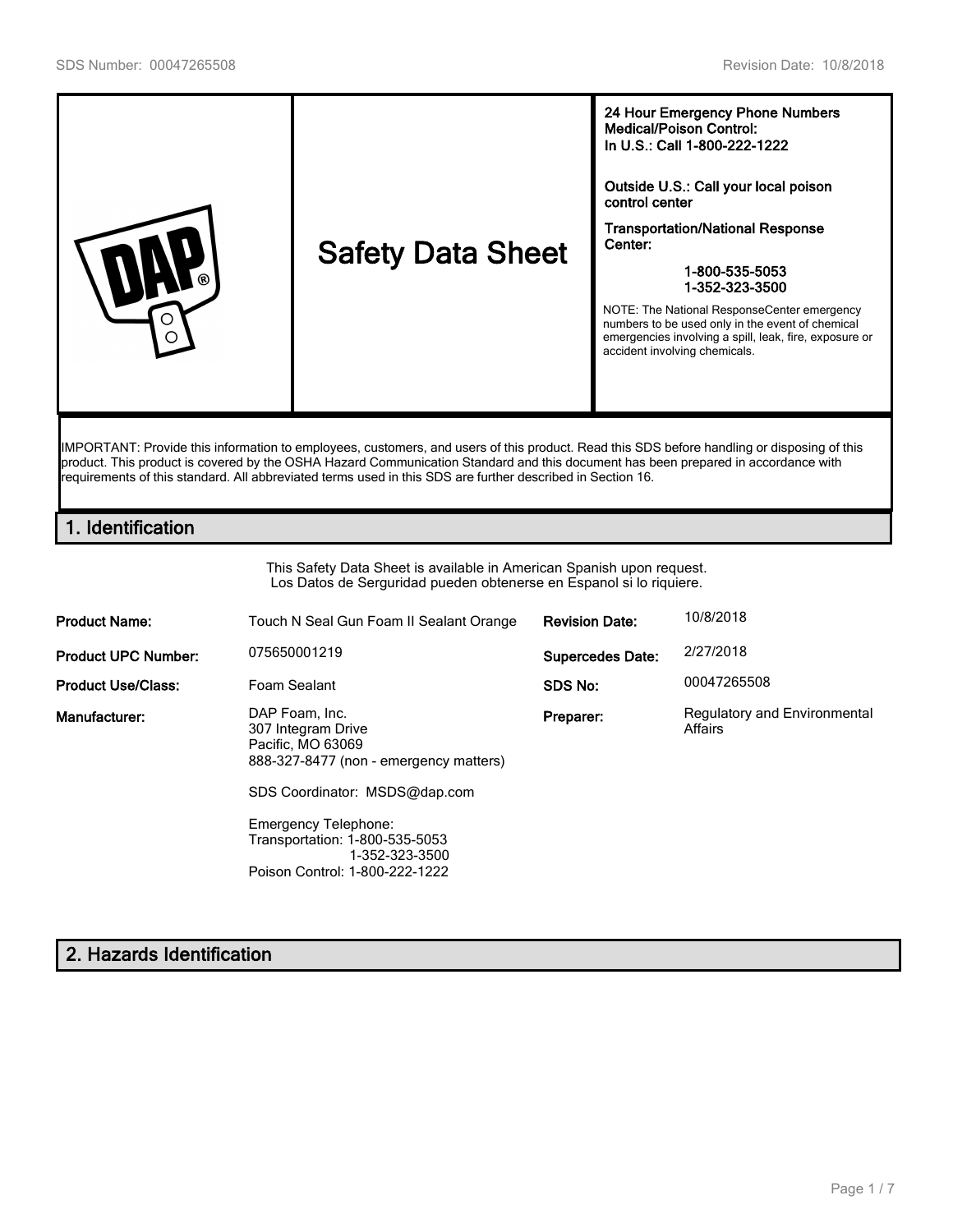

product. This product is covered by the OSHA Hazard Communication Standard and this document has been prepared in accordance with requirements of this standard. All abbreviated terms used in this SDS are further described in Section 16.

## **1. Identification**

This Safety Data Sheet is available in American Spanish upon request. Los Datos de Serguridad pueden obtenerse en Espanol si lo riquiere.

| <b>Product Name:</b>       | Touch N Seal Gun Foam II Sealant Orange                                                                                                                                                                                                            | <b>Revision Date:</b>   | 10/8/2018                               |
|----------------------------|----------------------------------------------------------------------------------------------------------------------------------------------------------------------------------------------------------------------------------------------------|-------------------------|-----------------------------------------|
| <b>Product UPC Number:</b> | 075650001219                                                                                                                                                                                                                                       | <b>Supercedes Date:</b> | 2/27/2018                               |
| <b>Product Use/Class:</b>  | Foam Sealant                                                                                                                                                                                                                                       | SDS No:                 | 00047265508                             |
| Manufacturer:              | DAP Foam, Inc.<br>307 Integram Drive<br>Pacific, MO 63069<br>888-327-8477 (non - emergency matters)<br>SDS Coordinator: MSDS@dap.com<br>Emergency Telephone:<br>Transportation: 1-800-535-5053<br>1-352-323-3500<br>Poison Control: 1-800-222-1222 | Preparer:               | Regulatory and Environmental<br>Affairs |

# **2. Hazards Identification**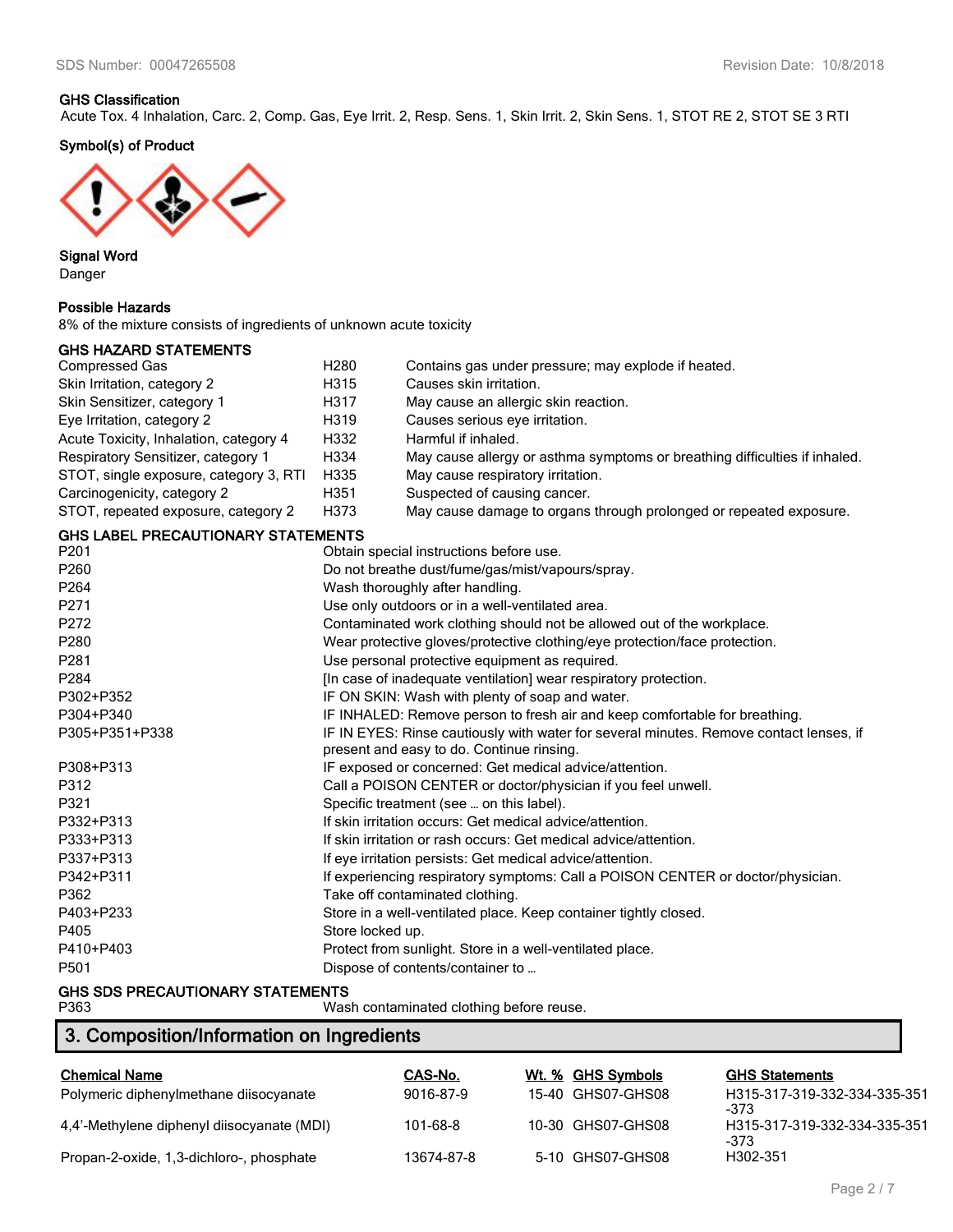### **GHS Classification**

Acute Tox. 4 Inhalation, Carc. 2, Comp. Gas, Eye Irrit. 2, Resp. Sens. 1, Skin Irrit. 2, Skin Sens. 1, STOT RE 2, STOT SE 3 RTI

**Symbol(s) of Product**



**Signal Word** Danger

### **Possible Hazards**

8% of the mixture consists of ingredients of unknown acute toxicity

# **GHS HAZARD STATEMENTS**

| <b>Compressed Gas</b>                                | H <sub>280</sub>                                | Contains gas under pressure; may explode if heated.                                                                                 |  |
|------------------------------------------------------|-------------------------------------------------|-------------------------------------------------------------------------------------------------------------------------------------|--|
| Skin Irritation, category 2                          | H315                                            | Causes skin irritation.                                                                                                             |  |
| Skin Sensitizer, category 1                          | H317                                            | May cause an allergic skin reaction.                                                                                                |  |
| Eye Irritation, category 2                           | H319                                            | Causes serious eye irritation.                                                                                                      |  |
| Acute Toxicity, Inhalation, category 4               | H332                                            | Harmful if inhaled.                                                                                                                 |  |
| Respiratory Sensitizer, category 1                   | H334                                            | May cause allergy or asthma symptoms or breathing difficulties if inhaled.                                                          |  |
| STOT, single exposure, category 3, RTI               | H335                                            | May cause respiratory irritation.                                                                                                   |  |
| Carcinogenicity, category 2                          | H351                                            | Suspected of causing cancer.                                                                                                        |  |
| STOT, repeated exposure, category 2                  | H373                                            | May cause damage to organs through prolonged or repeated exposure.                                                                  |  |
| <b>GHS LABEL PRECAUTIONARY STATEMENTS</b>            |                                                 |                                                                                                                                     |  |
| P201                                                 |                                                 | Obtain special instructions before use.                                                                                             |  |
| P260                                                 |                                                 | Do not breathe dust/fume/gas/mist/vapours/spray.                                                                                    |  |
| P264                                                 |                                                 | Wash thoroughly after handling.                                                                                                     |  |
| P271                                                 |                                                 | Use only outdoors or in a well-ventilated area.                                                                                     |  |
| P272                                                 |                                                 | Contaminated work clothing should not be allowed out of the workplace.                                                              |  |
| P280                                                 |                                                 | Wear protective gloves/protective clothing/eye protection/face protection.                                                          |  |
| P281                                                 |                                                 | Use personal protective equipment as required.                                                                                      |  |
| P284                                                 |                                                 | [In case of inadequate ventilation] wear respiratory protection.                                                                    |  |
| P302+P352                                            | IF ON SKIN: Wash with plenty of soap and water. |                                                                                                                                     |  |
| P304+P340                                            |                                                 | IF INHALED: Remove person to fresh air and keep comfortable for breathing.                                                          |  |
| P305+P351+P338                                       |                                                 | IF IN EYES: Rinse cautiously with water for several minutes. Remove contact lenses, if<br>present and easy to do. Continue rinsing. |  |
| P308+P313                                            |                                                 | IF exposed or concerned: Get medical advice/attention.                                                                              |  |
| P312                                                 |                                                 | Call a POISON CENTER or doctor/physician if you feel unwell.                                                                        |  |
| P321                                                 |                                                 | Specific treatment (see  on this label).                                                                                            |  |
| P332+P313                                            |                                                 | If skin irritation occurs: Get medical advice/attention.                                                                            |  |
| P333+P313                                            |                                                 | If skin irritation or rash occurs: Get medical advice/attention.                                                                    |  |
| P337+P313                                            |                                                 | If eye irritation persists: Get medical advice/attention.                                                                           |  |
| P342+P311                                            |                                                 | If experiencing respiratory symptoms: Call a POISON CENTER or doctor/physician.                                                     |  |
| P362                                                 |                                                 | Take off contaminated clothing.                                                                                                     |  |
| P403+P233                                            |                                                 | Store in a well-ventilated place. Keep container tightly closed.                                                                    |  |
| P405                                                 | Store locked up.                                |                                                                                                                                     |  |
| P410+P403                                            |                                                 | Protect from sunlight. Store in a well-ventilated place.                                                                            |  |
| P501                                                 |                                                 | Dispose of contents/container to                                                                                                    |  |
| $\bigcap_{i=1}^n$ and note all the $\bigcup_{i=1}^n$ |                                                 |                                                                                                                                     |  |

**GHS SDS PRECAUTIONARY STATEMENTS** Wash contaminated clothing before reuse.

# **3. Composition/Information on Ingredients**

| <b>Chemical Name</b>                       | CAS-No.    | Wt. % GHS Symbols | <b>GHS Statements</b>                |
|--------------------------------------------|------------|-------------------|--------------------------------------|
| Polymeric diphenylmethane diisocyanate     | 9016-87-9  | 15-40 GHS07-GHS08 | H315-317-319-332-334-335-351<br>-373 |
| 4.4'-Methylene diphenyl diisocyanate (MDI) | 101-68-8   | 10-30 GHS07-GHS08 | H315-317-319-332-334-335-351<br>-373 |
| Propan-2-oxide, 1,3-dichloro-, phosphate   | 13674-87-8 | 5-10 GHS07-GHS08  | H302-351                             |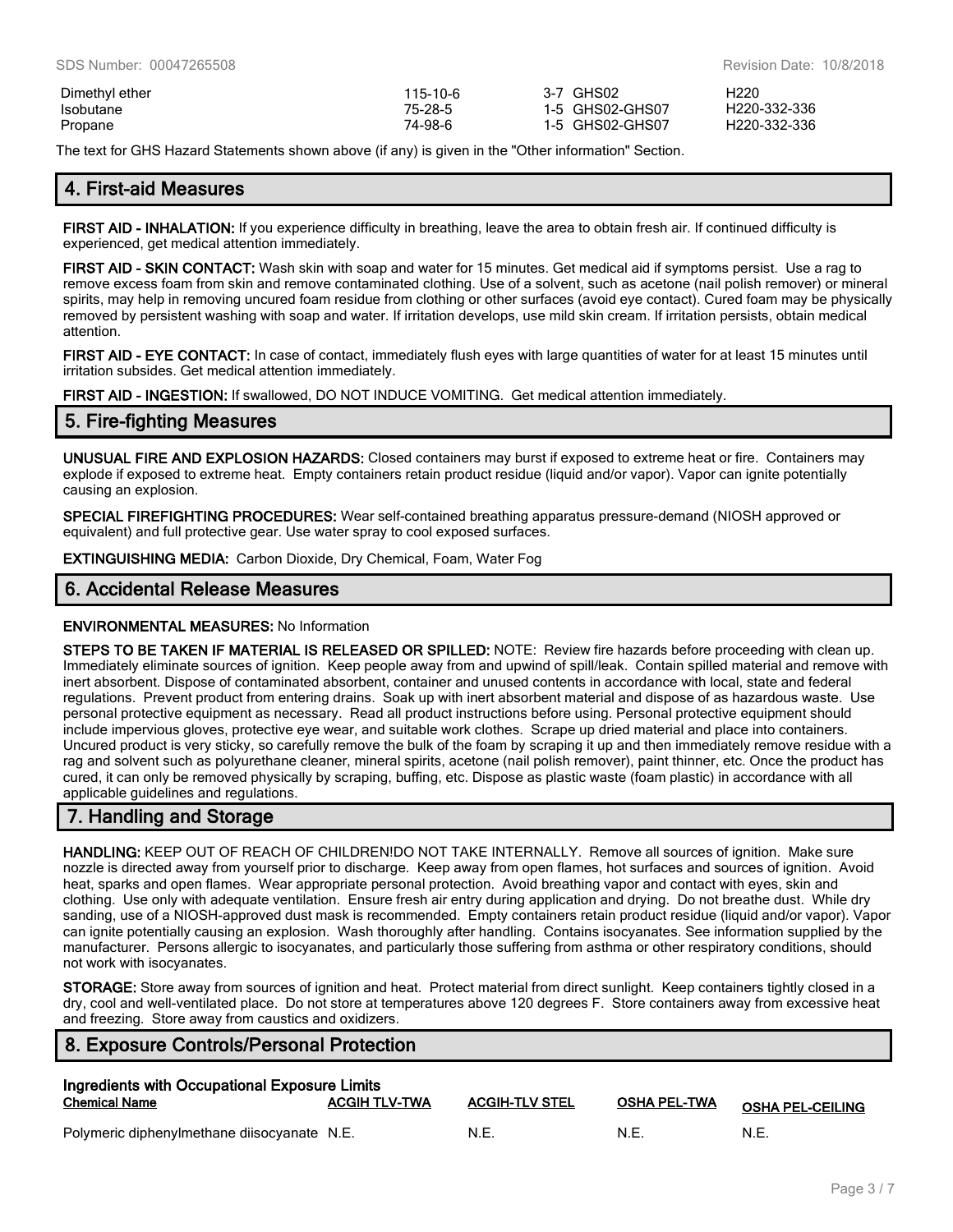| Dimethyl ether | 115-10-6 | 3-7 GHS02       | H <sub>220</sub> |
|----------------|----------|-----------------|------------------|
| Isobutane      | 75-28-5  | 1-5 GHS02-GHS07 | H220-332-336     |
| Propane        | 74-98-6  | 1-5 GHS02-GHS07 | H220-332-336     |

The text for GHS Hazard Statements shown above (if any) is given in the "Other information" Section.

## **4. First-aid Measures**

**FIRST AID - INHALATION:** If you experience difficulty in breathing, leave the area to obtain fresh air. If continued difficulty is experienced, get medical attention immediately.

**FIRST AID - SKIN CONTACT:** Wash skin with soap and water for 15 minutes. Get medical aid if symptoms persist. Use a rag to remove excess foam from skin and remove contaminated clothing. Use of a solvent, such as acetone (nail polish remover) or mineral spirits, may help in removing uncured foam residue from clothing or other surfaces (avoid eye contact). Cured foam may be physically removed by persistent washing with soap and water. If irritation develops, use mild skin cream. If irritation persists, obtain medical attention.

**FIRST AID - EYE CONTACT:** In case of contact, immediately flush eyes with large quantities of water for at least 15 minutes until irritation subsides. Get medical attention immediately.

**FIRST AID - INGESTION:** If swallowed, DO NOT INDUCE VOMITING. Get medical attention immediately.

### **5. Fire-fighting Measures**

**UNUSUAL FIRE AND EXPLOSION HAZARDS:** Closed containers may burst if exposed to extreme heat or fire. Containers may explode if exposed to extreme heat. Empty containers retain product residue (liquid and/or vapor). Vapor can ignite potentially causing an explosion.

**SPECIAL FIREFIGHTING PROCEDURES:** Wear self-contained breathing apparatus pressure-demand (NIOSH approved or equivalent) and full protective gear. Use water spray to cool exposed surfaces.

**EXTINGUISHING MEDIA:** Carbon Dioxide, Dry Chemical, Foam, Water Fog

## **6. Accidental Release Measures**

#### **ENVIRONMENTAL MEASURES:** No Information

**STEPS TO BE TAKEN IF MATERIAL IS RELEASED OR SPILLED:** NOTE: Review fire hazards before proceeding with clean up. Immediately eliminate sources of ignition. Keep people away from and upwind of spill/leak. Contain spilled material and remove with inert absorbent. Dispose of contaminated absorbent, container and unused contents in accordance with local, state and federal regulations. Prevent product from entering drains. Soak up with inert absorbent material and dispose of as hazardous waste. Use personal protective equipment as necessary. Read all product instructions before using. Personal protective equipment should include impervious gloves, protective eye wear, and suitable work clothes. Scrape up dried material and place into containers. Uncured product is very sticky, so carefully remove the bulk of the foam by scraping it up and then immediately remove residue with a rag and solvent such as polyurethane cleaner, mineral spirits, acetone (nail polish remover), paint thinner, etc. Once the product has cured, it can only be removed physically by scraping, buffing, etc. Dispose as plastic waste (foam plastic) in accordance with all applicable guidelines and regulations.

## **7. Handling and Storage**

**HANDLING:** KEEP OUT OF REACH OF CHILDREN!DO NOT TAKE INTERNALLY. Remove all sources of ignition. Make sure nozzle is directed away from yourself prior to discharge. Keep away from open flames, hot surfaces and sources of ignition. Avoid heat, sparks and open flames. Wear appropriate personal protection. Avoid breathing vapor and contact with eyes, skin and clothing. Use only with adequate ventilation. Ensure fresh air entry during application and drying. Do not breathe dust. While dry sanding, use of a NIOSH-approved dust mask is recommended. Empty containers retain product residue (liquid and/or vapor). Vapor can ignite potentially causing an explosion. Wash thoroughly after handling. Contains isocyanates. See information supplied by the manufacturer. Persons allergic to isocyanates, and particularly those suffering from asthma or other respiratory conditions, should not work with isocyanates.

**STORAGE:** Store away from sources of ignition and heat. Protect material from direct sunlight. Keep containers tightly closed in a dry, cool and well-ventilated place. Do not store at temperatures above 120 degrees F. Store containers away from excessive heat and freezing. Store away from caustics and oxidizers.

## **8. Exposure Controls/Personal Protection**

| Ingredients with Occupational Exposure Limits |                      |                       |              |                         |
|-----------------------------------------------|----------------------|-----------------------|--------------|-------------------------|
| <b>Chemical Name</b>                          | <b>ACGIH TLV-TWA</b> | <b>ACGIH-TLV STEL</b> | OSHA PEL-TWA | <b>OSHA PEL-CEILING</b> |
| Polymeric diphenylmethane diisocyanate N.E.   |                      | N.E.                  | N.E.         | N.E.                    |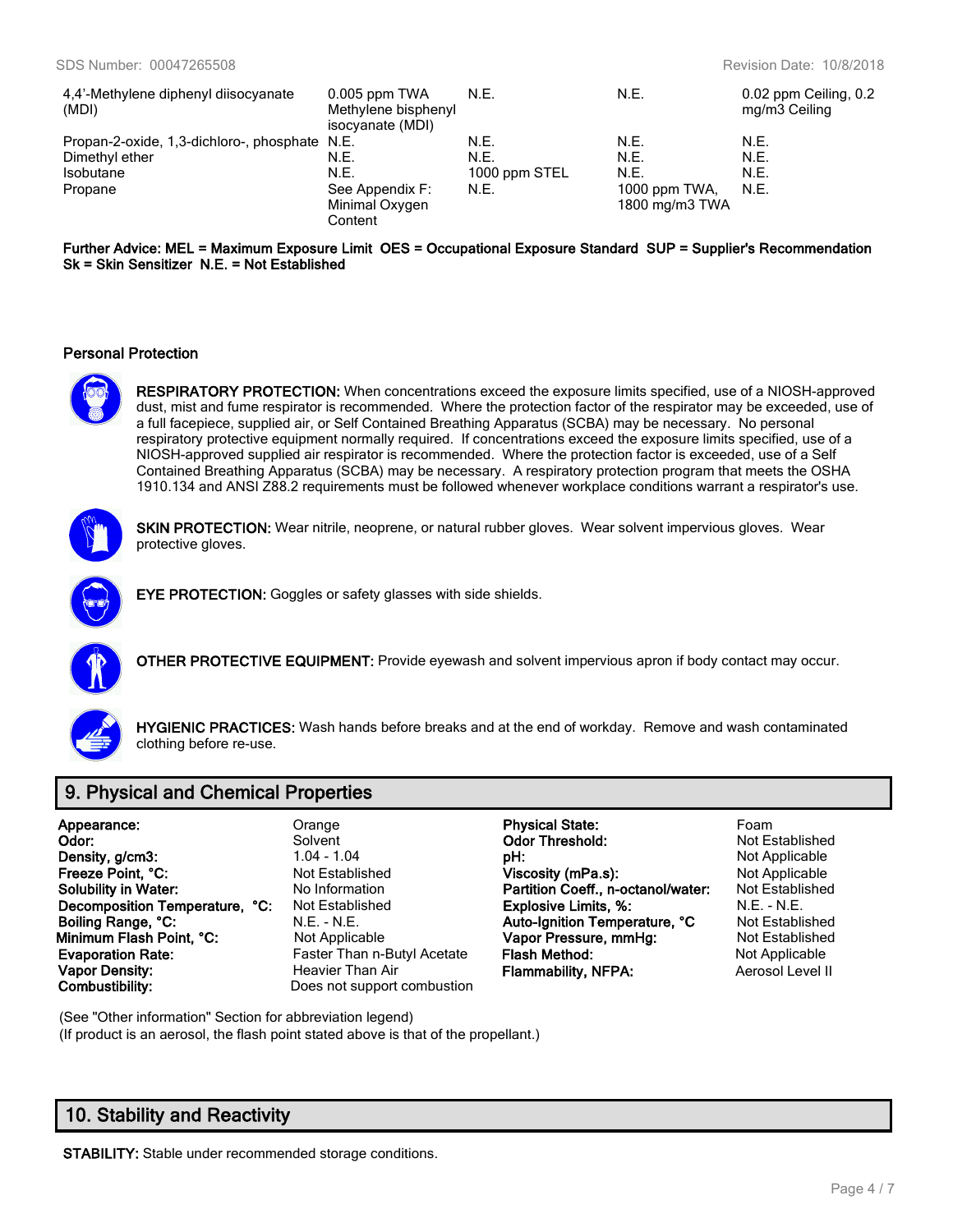| 4,4'-Methylene diphenyl diisocyanate          | $0.005$ ppm TWA     | N.E.          | N.E.           | 0.02 ppm Ceiling, 0.2 |
|-----------------------------------------------|---------------------|---------------|----------------|-----------------------|
| (MDI)                                         | Methylene bisphenyl |               |                | mg/m3 Ceiling         |
|                                               | isocyanate (MDI)    |               |                |                       |
| Propan-2-oxide, 1,3-dichloro-, phosphate N.E. |                     | N.E.          | N.E.           | N.E.                  |
| Dimethyl ether                                | N.E.                | N.E.          | N.E.           | N.E.                  |
| Isobutane                                     | N.E.                | 1000 ppm STEL | N.E.           | N.E.                  |
| Propane                                       | See Appendix F:     | N.E.          | 1000 ppm TWA,  | N.E.                  |
|                                               | Minimal Oxygen      |               | 1800 mg/m3 TWA |                       |
|                                               | Content             |               |                |                       |

#### **Further Advice: MEL = Maximum Exposure Limit OES = Occupational Exposure Standard SUP = Supplier's Recommendation Sk = Skin Sensitizer N.E. = Not Established**

#### **Personal Protection**



**RESPIRATORY PROTECTION:** When concentrations exceed the exposure limits specified, use of a NIOSH-approved dust, mist and fume respirator is recommended. Where the protection factor of the respirator may be exceeded, use of a full facepiece, supplied air, or Self Contained Breathing Apparatus (SCBA) may be necessary. No personal respiratory protective equipment normally required. If concentrations exceed the exposure limits specified, use of a NIOSH-approved supplied air respirator is recommended. Where the protection factor is exceeded, use of a Self Contained Breathing Apparatus (SCBA) may be necessary. A respiratory protection program that meets the OSHA 1910.134 and ANSI Z88.2 requirements must be followed whenever workplace conditions warrant a respirator's use.



**SKIN PROTECTION:** Wear nitrile, neoprene, or natural rubber gloves. Wear solvent impervious gloves. Wear protective gloves.



**EYE PROTECTION:** Goggles or safety glasses with side shields.



**OTHER PROTECTIVE EQUIPMENT:** Provide eyewash and solvent impervious apron if body contact may occur.



**HYGIENIC PRACTICES:** Wash hands before breaks and at the end of workday. Remove and wash contaminated clothing before re-use.

## **9. Physical and Chemical Properties**

| Appearance:                   |  |
|-------------------------------|--|
| Odor:                         |  |
| Density, g/cm3:               |  |
| Freeze Point, °C:             |  |
| <b>Solubility in Water:</b>   |  |
| Decomposition Temperature, °C |  |
| Boiling Range, °C:            |  |
| Minimum Flash Point, °C:      |  |
| <b>Evaporation Rate:</b>      |  |
| Vapor Density:                |  |
| Combustibility:               |  |

Does not support combustion

**Appearance:** Orange **Physical State:** Foam **Solvent Odor Threshold:** Not Established<br>
1.04 - 1.04 **DH:** Not Applicable **pH:** 1.04 - 1.04 - 1.04 - 1.04 - 1.04 - 1.04 - 1.04 - 1.04 - 1.04 - 1.04 - 1.04 - 1.04 - 1.04 - 1.04 - 1.04 - 1.04 - 1.04 - 1.04 - 1.04 - 1.04 - 1.04 - 1.04 - 1.04 - 1.04 - 1.04 - 1.04 - 1.04 - 1.04 - 1.04 - 1.04 - 1.04 -**Freeze Point Applicable Point Control Viscosity (mPa.s):** Not Applicable<br> **Partition Coeff., n-octanol/water:** Not Established No Information **Partition Coeff., n-octanol/water: Decomposition Network Temperature Temperature Constraints, %:** N.E. - N.E. - N.E. **Boiling Range, °C:** N.E. - N.E. **Auto-Ignition Temperature, °C** Not Established **Monimum Flash Pressure, mmHg:** Not Established **Vapor Pressure, mmHg:** Not Established **Faster Than n-Butyl Acetate Flash Method:** Not Applicable **Value Than Air Commability, NFPA:** Aerosol Level II

(See "Other information" Section for abbreviation legend) (If product is an aerosol, the flash point stated above is that of the propellant.)

## **10. Stability and Reactivity**

**STABILITY:** Stable under recommended storage conditions.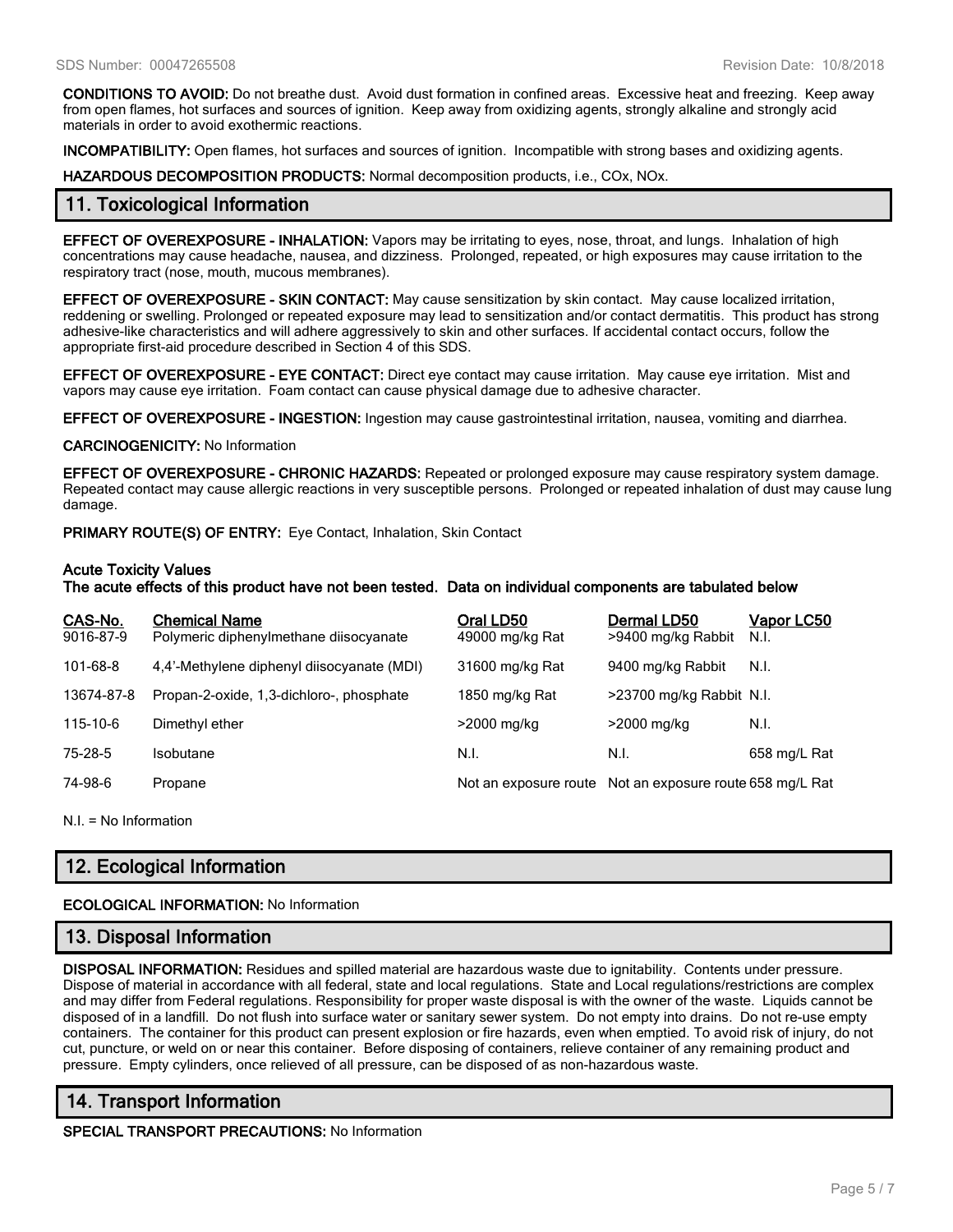**CONDITIONS TO AVOID:** Do not breathe dust. Avoid dust formation in confined areas. Excessive heat and freezing. Keep away from open flames, hot surfaces and sources of ignition. Keep away from oxidizing agents, strongly alkaline and strongly acid materials in order to avoid exothermic reactions.

**INCOMPATIBILITY:** Open flames, hot surfaces and sources of ignition. Incompatible with strong bases and oxidizing agents.

**HAZARDOUS DECOMPOSITION PRODUCTS:** Normal decomposition products, i.e., COx, NOx.

### **11. Toxicological Information**

**EFFECT OF OVEREXPOSURE - INHALATION:** Vapors may be irritating to eyes, nose, throat, and lungs. Inhalation of high concentrations may cause headache, nausea, and dizziness. Prolonged, repeated, or high exposures may cause irritation to the respiratory tract (nose, mouth, mucous membranes).

**EFFECT OF OVEREXPOSURE - SKIN CONTACT:** May cause sensitization by skin contact. May cause localized irritation, reddening or swelling. Prolonged or repeated exposure may lead to sensitization and/or contact dermatitis. This product has strong adhesive-like characteristics and will adhere aggressively to skin and other surfaces. If accidental contact occurs, follow the appropriate first-aid procedure described in Section 4 of this SDS.

**EFFECT OF OVEREXPOSURE - EYE CONTACT:** Direct eye contact may cause irritation. May cause eye irritation. Mist and vapors may cause eye irritation. Foam contact can cause physical damage due to adhesive character.

**EFFECT OF OVEREXPOSURE - INGESTION:** Ingestion may cause gastrointestinal irritation, nausea, vomiting and diarrhea.

**CARCINOGENICITY:** No Information

**EFFECT OF OVEREXPOSURE - CHRONIC HAZARDS:** Repeated or prolonged exposure may cause respiratory system damage. Repeated contact may cause allergic reactions in very susceptible persons. Prolonged or repeated inhalation of dust may cause lung damage.

**PRIMARY ROUTE(S) OF ENTRY:** Eye Contact, Inhalation, Skin Contact

#### **Acute Toxicity Values**

**The acute effects of this product have not been tested. Data on individual components are tabulated below**

| CAS-No.<br>9016-87-9 | <b>Chemical Name</b><br>Polymeric diphenylmethane diisocyanate | Oral LD50<br>49000 mg/kg Rat                             | Dermal LD50<br>>9400 mg/kg Rabbit | <u>Vapor LC50</u><br>N.I. |
|----------------------|----------------------------------------------------------------|----------------------------------------------------------|-----------------------------------|---------------------------|
| 101-68-8             | 4.4'-Methylene diphenyl diisocyanate (MDI)                     | 31600 mg/kg Rat                                          | 9400 mg/kg Rabbit                 | N.I.                      |
| 13674-87-8           | Propan-2-oxide, 1,3-dichloro-, phosphate                       | 1850 mg/kg Rat                                           | >23700 mg/kg Rabbit N.I.          |                           |
| 115-10-6             | Dimethyl ether                                                 | >2000 mg/kg                                              | >2000 mg/kg                       | N.I.                      |
| 75-28-5              | Isobutane                                                      | N.I.                                                     | N.I.                              | 658 mg/L Rat              |
| 74-98-6              | Propane                                                        | Not an exposure route Not an exposure route 658 mg/L Rat |                                   |                           |

N.I. = No Information

# **12. Ecological Information**

#### **ECOLOGICAL INFORMATION:** No Information

### **13. Disposal Information**

**DISPOSAL INFORMATION:** Residues and spilled material are hazardous waste due to ignitability. Contents under pressure. Dispose of material in accordance with all federal, state and local regulations. State and Local regulations/restrictions are complex and may differ from Federal regulations. Responsibility for proper waste disposal is with the owner of the waste. Liquids cannot be disposed of in a landfill. Do not flush into surface water or sanitary sewer system. Do not empty into drains. Do not re-use empty containers. The container for this product can present explosion or fire hazards, even when emptied. To avoid risk of injury, do not cut, puncture, or weld on or near this container. Before disposing of containers, relieve container of any remaining product and pressure. Empty cylinders, once relieved of all pressure, can be disposed of as non-hazardous waste.

## **14. Transport Information**

**SPECIAL TRANSPORT PRECAUTIONS:** No Information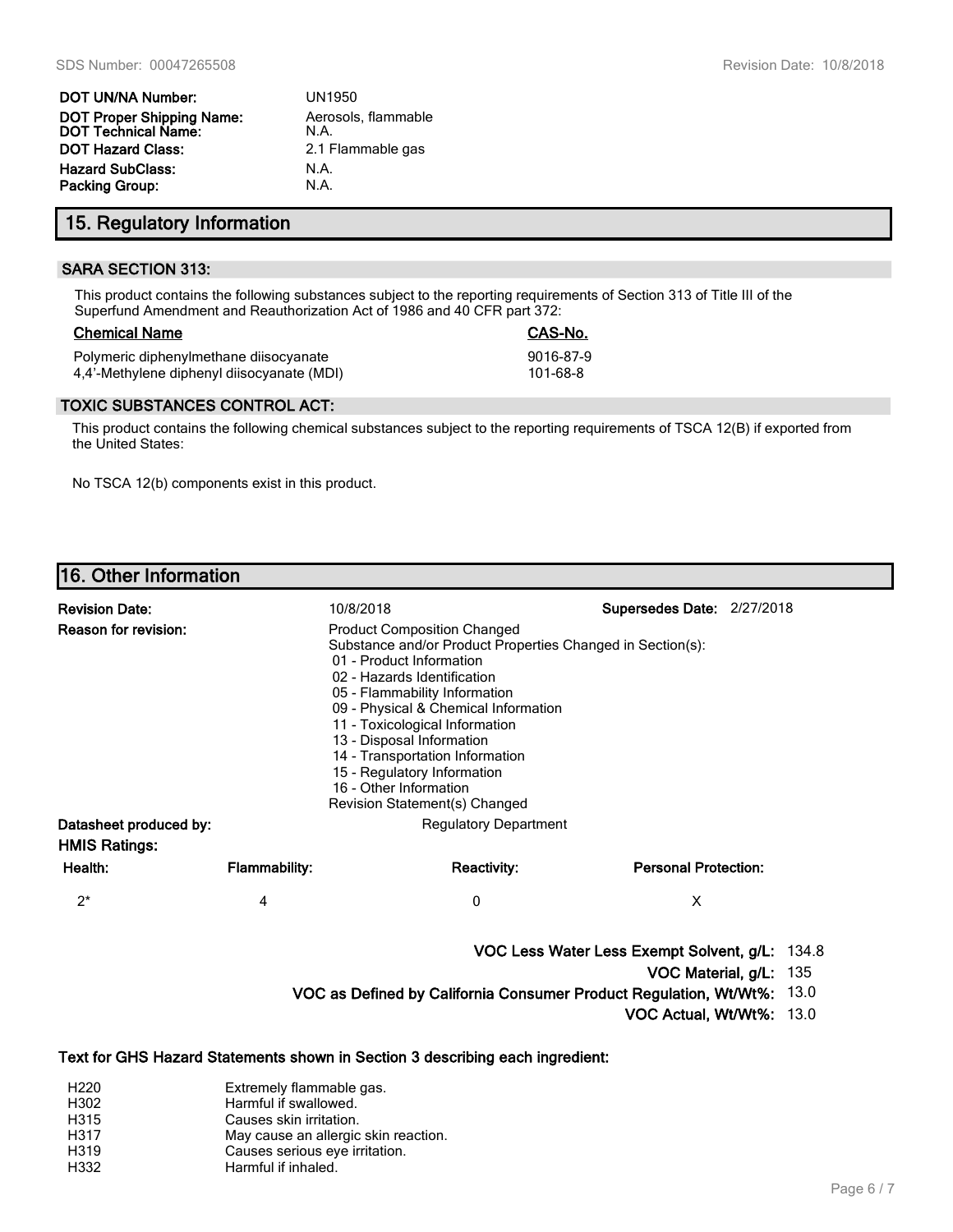| <b>DOT UN/NA Number:</b>                         | <b>UN1950</b>               |
|--------------------------------------------------|-----------------------------|
| DOT Proper Shipping Name:<br>DOT Technical Name: | Aerosols, flammable<br>N.A. |
| <b>DOT Hazard Class:</b>                         | 2.1 Flammable gas           |
| <b>Hazard SubClass:</b>                          | N.A.                        |
| Packing Group:                                   | N.A.                        |

## **15. Regulatory Information**

### **SARA SECTION 313:**

This product contains the following substances subject to the reporting requirements of Section 313 of Title III of the Superfund Amendment and Reauthorization Act of 1986 and 40 CFR part 372:

### **Chemical Name CAS-No.**

Polymeric diphenylmethane diisocyanate 9016-87-9 4,4'-Methylene diphenyl diisocyanate (MDI) 101-68-8

### **TOXIC SUBSTANCES CONTROL ACT:**

This product contains the following chemical substances subject to the reporting requirements of TSCA 12(B) if exported from the United States:

No TSCA 12(b) components exist in this product.

# **16. Other Information**

| <b>Revision Date:</b><br>Reason for revision:  |                      | 10/8/2018<br>Supersedes Date: 2/27/2018<br><b>Product Composition Changed</b><br>Substance and/or Product Properties Changed in Section(s):<br>01 - Product Information<br>02 - Hazards Identification<br>05 - Flammability Information<br>09 - Physical & Chemical Information<br>11 - Toxicological Information<br>13 - Disposal Information<br>14 - Transportation Information<br>15 - Regulatory Information<br>16 - Other Information<br>Revision Statement(s) Changed |                                                |                                |
|------------------------------------------------|----------------------|-----------------------------------------------------------------------------------------------------------------------------------------------------------------------------------------------------------------------------------------------------------------------------------------------------------------------------------------------------------------------------------------------------------------------------------------------------------------------------|------------------------------------------------|--------------------------------|
| Datasheet produced by:<br><b>HMIS Ratings:</b> |                      | <b>Regulatory Department</b>                                                                                                                                                                                                                                                                                                                                                                                                                                                |                                                |                                |
| Health:                                        | <b>Flammability:</b> | <b>Reactivity:</b>                                                                                                                                                                                                                                                                                                                                                                                                                                                          | <b>Personal Protection:</b>                    |                                |
| $2^*$                                          | 4                    | 0                                                                                                                                                                                                                                                                                                                                                                                                                                                                           | X                                              |                                |
|                                                |                      | VOC as Defined by California Consumer Product Regulation, Wt/Wt%:                                                                                                                                                                                                                                                                                                                                                                                                           | VOC Less Water Less Exempt Solvent, g/L: 134.8 | VOC Material, g/L: 135<br>13.0 |

**VOC Actual, Wt/Wt%:** 13.0

### **Text for GHS Hazard Statements shown in Section 3 describing each ingredient:**

| H <sub>220</sub> | Extremely flammable gas.             |
|------------------|--------------------------------------|
| H302             | Harmful if swallowed.                |
| H315             | Causes skin irritation.              |
| H317             | May cause an allergic skin reaction. |
| H319             | Causes serious eye irritation.       |
| H332             | Harmful if inhaled.                  |